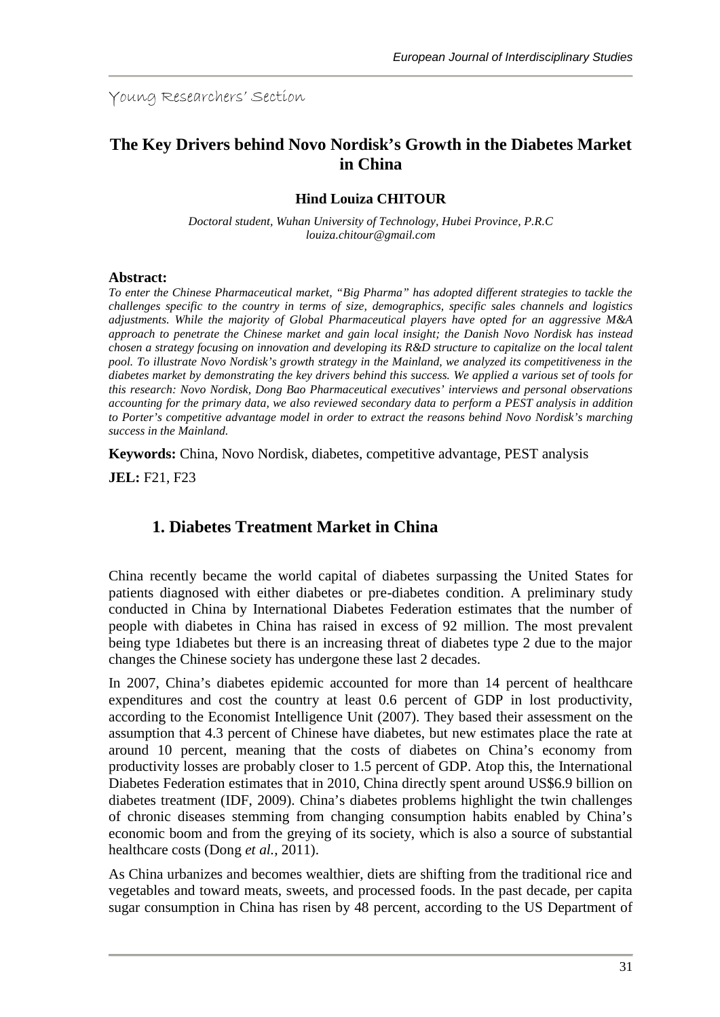Young Researchers' Section

# **The Key Drivers behind Novo Nordisk's Growth in the Diabetes Market in China**

#### **Hind Louiza CHITOUR**

*Doctoral student, Wuhan University of Technology, Hubei Province, P.R.C louiza.chitour@gmail.com*

#### **Abstract:**

*To enter the Chinese Pharmaceutical market, "Big Pharma" has adopted different strategies to tackle the challenges specific to the country in terms of size, demographics, specific sales channels and logistics adjustments. While the majority of Global Pharmaceutical players have opted for an aggressive M&A approach to penetrate the Chinese market and gain local insight; the Danish Novo Nordisk has instead chosen a strategy focusing on innovation and developing its R&D structure to capitalize on the local talent pool. To illustrate Novo Nordisk's growth strategy in the Mainland, we analyzed its competitiveness in the diabetes market by demonstrating the key drivers behind this success. We applied a various set of tools for this research: Novo Nordisk, Dong Bao Pharmaceutical executives' interviews and personal observations accounting for the primary data, we also reviewed secondary data to perform a PEST analysis in addition to Porter's competitive advantage model in order to extract the reasons behind Novo Nordisk's marching success in the Mainland.*

**Keywords:** China, Novo Nordisk, diabetes, competitive advantage, PEST analysis

**JEL:** F21, F23

# **1. Diabetes Treatment Market in China**

China recently became the world capital of diabetes surpassing the United States for patients diagnosed with either diabetes or pre-diabetes condition. A preliminary study conducted in China by International Diabetes Federation estimates that the number of people with diabetes in China has raised in excess of 92 million. The most prevalent being type 1diabetes but there is an increasing threat of diabetes type 2 due to the major changes the Chinese society has undergone these last 2 decades.

In 2007, China's diabetes epidemic accounted for more than 14 percent of healthcare expenditures and cost the country at least 0.6 percent of GDP in lost productivity, according to the Economist Intelligence Unit (2007). They based their assessment on the assumption that 4.3 percent of Chinese have diabetes, but new estimates place the rate at around 10 percent, meaning that the costs of diabetes on China's economy from productivity losses are probably closer to 1.5 percent of GDP. Atop this, the International Diabetes Federation estimates that in 2010, China directly spent around US\$6.9 billion on diabetes treatment (IDF, 2009). China's diabetes problems highlight the twin challenges of chronic diseases stemming from changing consumption habits enabled by China's economic boom and from the greying of its society, which is also a source of substantial healthcare costs (Dong *et al.*, 2011).

As China urbanizes and becomes wealthier, diets are shifting from the traditional rice and vegetables and toward meats, sweets, and processed foods. In the past decade, per capita sugar consumption in China has risen by 48 percent, according to the US Department of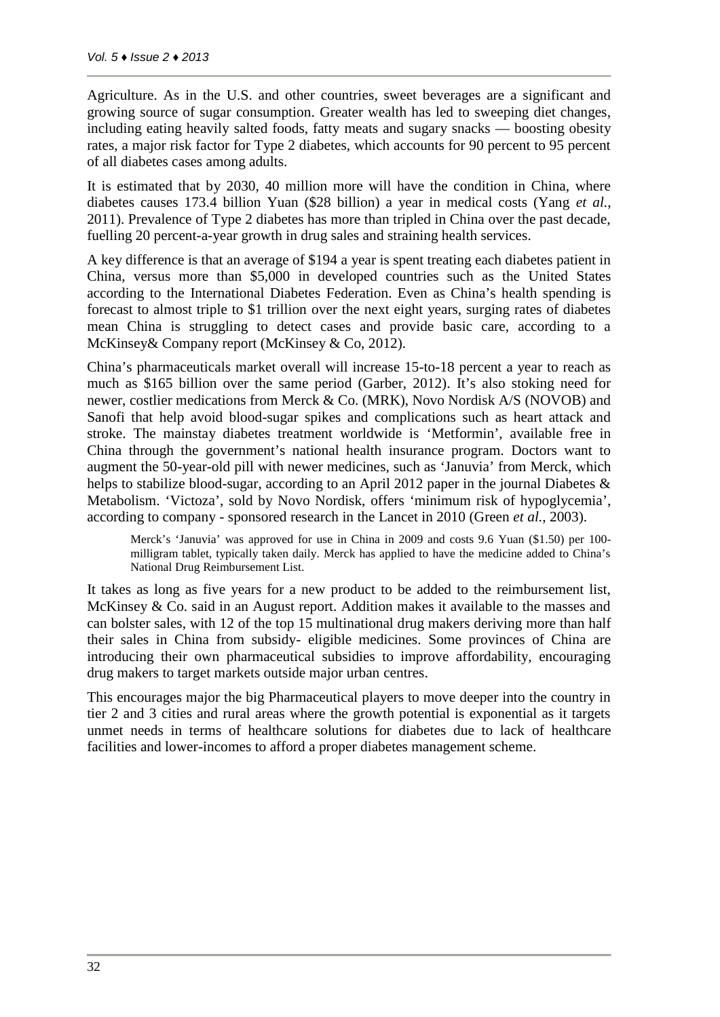Agriculture. As in the U.S. and other countries, sweet beverages are a significant and growing source of sugar consumption. Greater wealth has led to sweeping diet changes, including eating heavily salted foods, fatty meats and sugary snacks — boosting obesity rates, a major risk factor for Type 2 diabetes, which accounts for 90 percent to 95 percent of all diabetes cases among adults.

It is estimated that by 2030, 40 million more will have the condition in China, where diabetes causes 173.4 billion Yuan (\$28 billion) a year in medical costs (Yang *et al.*, 2011). Prevalence of Type 2 diabetes has more than tripled in China over the past decade, fuelling 20 percent-a-year growth in drug sales and straining health services.

A key difference is that an average of \$194 a year is spent treating each diabetes patient in China, versus more than \$5,000 in developed countries such as the United States according to the International Diabetes Federation. Even as China's health spending is forecast to almost triple to \$1 trillion over the next eight years, surging rates of diabetes mean China is struggling to detect cases and provide basic care, according to a McKinsey& Company report (McKinsey & Co, 2012).

China's pharmaceuticals market overall will increase 15-to-18 percent a year to reach as much as \$165 billion over the same period (Garber, 2012). It's also stoking need for newer, costlier medications from Merck & Co. (MRK), Novo Nordisk A/S (NOVOB) and Sanofi that help avoid blood-sugar spikes and complications such as heart attack and stroke. The mainstay diabetes treatment worldwide is 'Metformin', available free in China through the government's national health insurance program. Doctors want to augment the 50-year-old pill with newer medicines, such as 'Januvia' from Merck, which helps to stabilize blood-sugar, according to an April 2012 paper in the journal Diabetes & Metabolism. 'Victoza', sold by Novo Nordisk, offers 'minimum risk of hypoglycemia', according to company - sponsored research in the Lancet in 2010 (Green *et al.*, 2003).

Merck's 'Januvia' was approved for use in China in 2009 and costs 9.6 Yuan (\$1.50) per 100 milligram tablet, typically taken daily. Merck has applied to have the medicine added to China's National Drug Reimbursement List.

It takes as long as five years for a new product to be added to the reimbursement list, McKinsey & Co. said in an August report. Addition makes it available to the masses and can bolster sales, with 12 of the top 15 multinational drug makers deriving more than half their sales in China from subsidy- eligible medicines. Some provinces of China are introducing their own pharmaceutical subsidies to improve affordability, encouraging drug makers to target markets outside major urban centres.

This encourages major the big Pharmaceutical players to move deeper into the country in tier 2 and 3 cities and rural areas where the growth potential is exponential as it targets unmet needs in terms of healthcare solutions for diabetes due to lack of healthcare facilities and lower-incomes to afford a proper diabetes management scheme.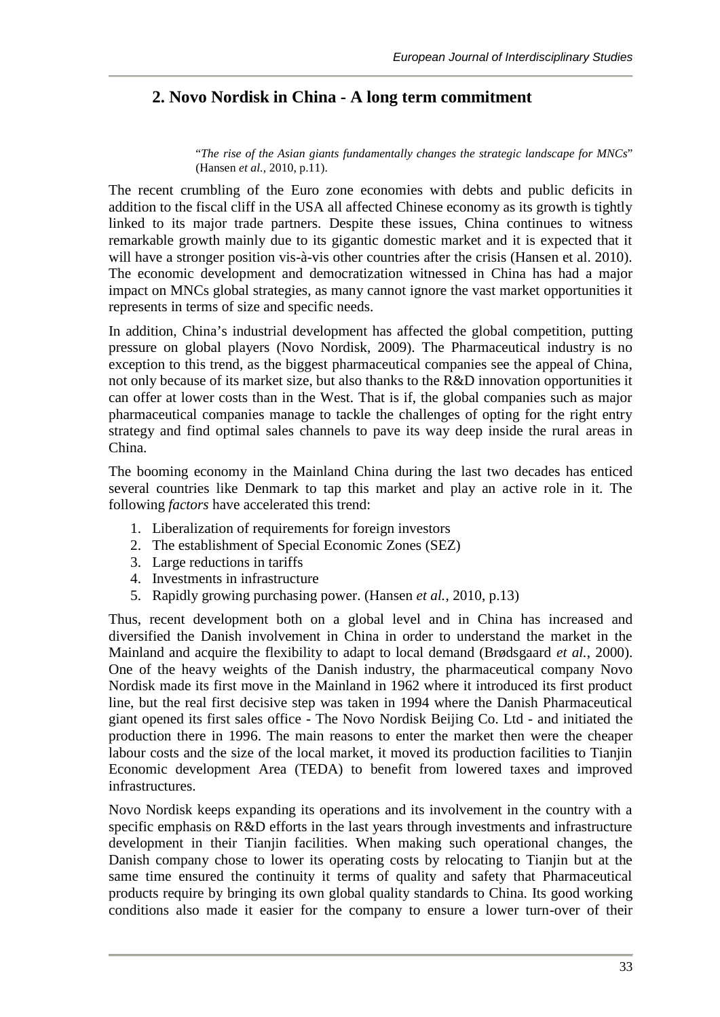# **2. Novo Nordisk in China - A long term commitment**

"*The rise of the Asian giants fundamentally changes the strategic landscape for MNCs*" (Hansen *et al.*, 2010, p.11).

The recent crumbling of the Euro zone economies with debts and public deficits in addition to the fiscal cliff in the USA all affected Chinese economy as its growth is tightly linked to its major trade partners. Despite these issues, China continues to witness remarkable growth mainly due to its gigantic domestic market and it is expected that it will have a stronger position vis-à-vis other countries after the crisis (Hansen et al. 2010). The economic development and democratization witnessed in China has had a major impact on MNCs global strategies, as many cannot ignore the vast market opportunities it represents in terms of size and specific needs.

In addition, China's industrial development has affected the global competition, putting pressure on global players (Novo Nordisk, 2009). The Pharmaceutical industry is no exception to this trend, as the biggest pharmaceutical companies see the appeal of China, not only because of its market size, but also thanks to the R&D innovation opportunities it can offer at lower costs than in the West. That is if, the global companies such as major pharmaceutical companies manage to tackle the challenges of opting for the right entry strategy and find optimal sales channels to pave its way deep inside the rural areas in China.

The booming economy in the Mainland China during the last two decades has enticed several countries like Denmark to tap this market and play an active role in it. The following *factors* have accelerated this trend:

- 1. Liberalization of requirements for foreign investors
- 2. The establishment of Special Economic Zones (SEZ)
- 3. Large reductions in tariffs
- 4. Investments in infrastructure
- 5. Rapidly growing purchasing power. (Hansen *et al.*, 2010, p.13)

Thus, recent development both on a global level and in China has increased and diversified the Danish involvement in China in order to understand the market in the Mainland and acquire the flexibility to adapt to local demand (Brødsgaard *et al.*, 2000). One of the heavy weights of the Danish industry, the pharmaceutical company Novo Nordisk made its first move in the Mainland in 1962 where it introduced its first product line, but the real first decisive step was taken in 1994 where the Danish Pharmaceutical giant opened its first sales office - The Novo Nordisk Beijing Co. Ltd - and initiated the production there in 1996. The main reasons to enter the market then were the cheaper labour costs and the size of the local market, it moved its production facilities to Tianjin Economic development Area (TEDA) to benefit from lowered taxes and improved infrastructures.

Novo Nordisk keeps expanding its operations and its involvement in the country with a specific emphasis on R&D efforts in the last years through investments and infrastructure development in their Tianjin facilities. When making such operational changes, the Danish company chose to lower its operating costs by relocating to Tianjin but at the same time ensured the continuity it terms of quality and safety that Pharmaceutical products require by bringing its own global quality standards to China. Its good working conditions also made it easier for the company to ensure a lower turn-over of their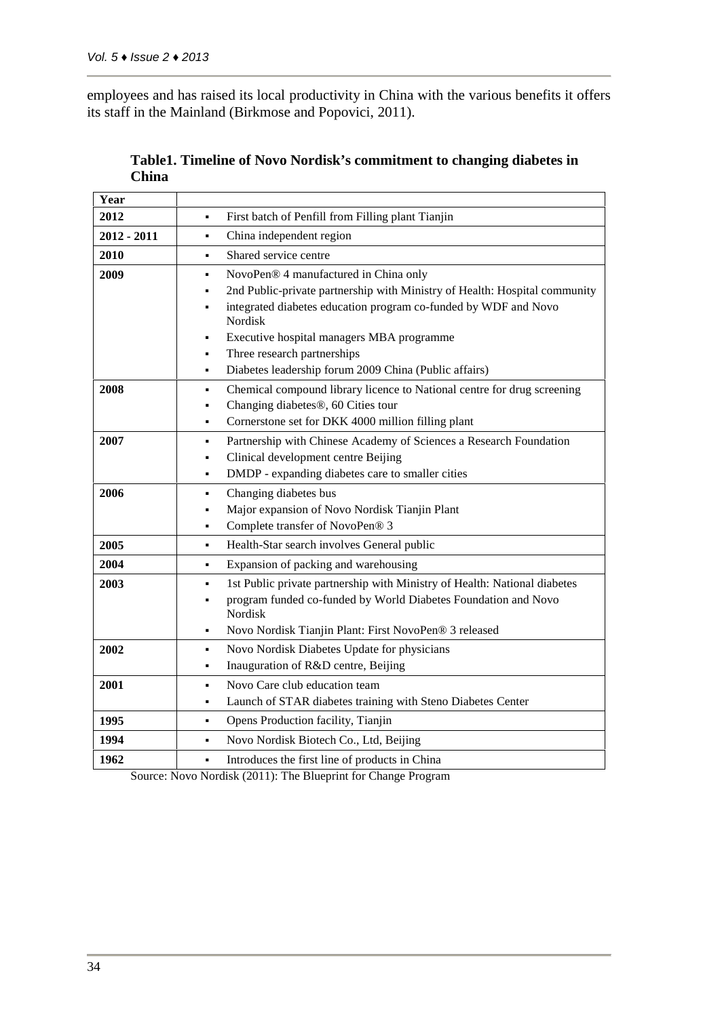employees and has raised its local productivity in China with the various benefits it offers its staff in the Mainland (Birkmose and Popovici, 2011).

| Year          |                                                                                                                                                                                                                                                                                                                                                                              |
|---------------|------------------------------------------------------------------------------------------------------------------------------------------------------------------------------------------------------------------------------------------------------------------------------------------------------------------------------------------------------------------------------|
| 2012          | First batch of Penfill from Filling plant Tianjin                                                                                                                                                                                                                                                                                                                            |
| $2012 - 2011$ | China independent region<br>٠                                                                                                                                                                                                                                                                                                                                                |
| 2010          | Shared service centre<br>٠                                                                                                                                                                                                                                                                                                                                                   |
| 2009          | NovoPen® 4 manufactured in China only<br>$\blacksquare$<br>2nd Public-private partnership with Ministry of Health: Hospital community<br>٠<br>integrated diabetes education program co-funded by WDF and Novo<br>Nordisk<br>Executive hospital managers MBA programme<br>٠<br>Three research partnerships<br>٠<br>Diabetes leadership forum 2009 China (Public affairs)<br>٠ |
| 2008          | Chemical compound library licence to National centre for drug screening<br>٠<br>Changing diabetes <sup>®</sup> , 60 Cities tour<br>Cornerstone set for DKK 4000 million filling plant<br>$\blacksquare$                                                                                                                                                                      |
| 2007          | Partnership with Chinese Academy of Sciences a Research Foundation<br>$\blacksquare$<br>Clinical development centre Beijing<br>$\blacksquare$<br>DMDP - expanding diabetes care to smaller cities<br>$\blacksquare$                                                                                                                                                          |
| 2006          | Changing diabetes bus<br>$\blacksquare$<br>Major expansion of Novo Nordisk Tianjin Plant<br>Complete transfer of NovoPen® 3                                                                                                                                                                                                                                                  |
| 2005          | Health-Star search involves General public<br>$\blacksquare$                                                                                                                                                                                                                                                                                                                 |
| 2004          | Expansion of packing and warehousing<br>٠                                                                                                                                                                                                                                                                                                                                    |
| 2003          | 1st Public private partnership with Ministry of Health: National diabetes<br>$\blacksquare$<br>program funded co-funded by World Diabetes Foundation and Novo<br>Nordisk<br>Novo Nordisk Tianjin Plant: First NovoPen® 3 released<br>٠                                                                                                                                       |
| 2002          | Novo Nordisk Diabetes Update for physicians<br>$\blacksquare$<br>Inauguration of R&D centre, Beijing<br>٠                                                                                                                                                                                                                                                                    |
| 2001          | Novo Care club education team<br>$\blacksquare$<br>Launch of STAR diabetes training with Steno Diabetes Center<br>$\blacksquare$                                                                                                                                                                                                                                             |
| 1995          | Opens Production facility, Tianjin<br>$\blacksquare$                                                                                                                                                                                                                                                                                                                         |
| 1994          | Novo Nordisk Biotech Co., Ltd, Beijing<br>$\blacksquare$                                                                                                                                                                                                                                                                                                                     |
| 1962          | Introduces the first line of products in China<br>$\blacksquare$                                                                                                                                                                                                                                                                                                             |
|               |                                                                                                                                                                                                                                                                                                                                                                              |

| Table1. Timeline of Novo Nordisk's commitment to changing diabetes in |  |
|-----------------------------------------------------------------------|--|
| China                                                                 |  |

Source: Novo Nordisk (2011): The Blueprint for Change Program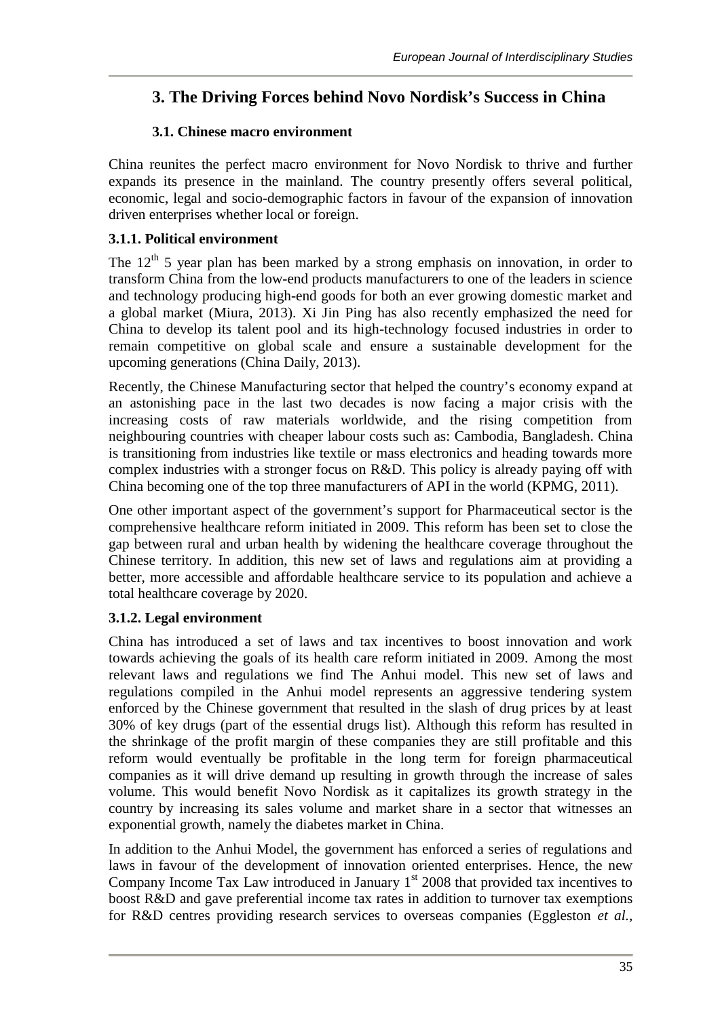# **3. The Driving Forces behind Novo Nordisk's Success in China**

## **3.1. Chinese macro environment**

China reunites the perfect macro environment for Novo Nordisk to thrive and further expands its presence in the mainland. The country presently offers several political, economic, legal and socio-demographic factors in favour of the expansion of innovation driven enterprises whether local or foreign.

## **3.1.1. Political environment**

The  $12<sup>th</sup>$  5 year plan has been marked by a strong emphasis on innovation, in order to transform China from the low-end products manufacturers to one of the leaders in science and technology producing high-end goods for both an ever growing domestic market and a global market (Miura, 2013). Xi Jin Ping has also recently emphasized the need for China to develop its talent pool and its high-technology focused industries in order to remain competitive on global scale and ensure a sustainable development for the upcoming generations (China Daily, 2013).

Recently, the Chinese Manufacturing sector that helped the country's economy expand at an astonishing pace in the last two decades is now facing a major crisis with the increasing costs of raw materials worldwide, and the rising competition from neighbouring countries with cheaper labour costs such as: Cambodia, Bangladesh. China is transitioning from industries like textile or mass electronics and heading towards more complex industries with a stronger focus on R&D. This policy is already paying off with China becoming one of the top three manufacturers of API in the world (KPMG, 2011).

One other important aspect of the government's support for Pharmaceutical sector is the comprehensive healthcare reform initiated in 2009. This reform has been set to close the gap between rural and urban health by widening the healthcare coverage throughout the Chinese territory. In addition, this new set of laws and regulations aim at providing a better, more accessible and affordable healthcare service to its population and achieve a total healthcare coverage by 2020.

# **3.1.2. Legal environment**

China has introduced a set of laws and tax incentives to boost innovation and work towards achieving the goals of its health care reform initiated in 2009. Among the most relevant laws and regulations we find The Anhui model. This new set of laws and regulations compiled in the Anhui model represents an aggressive tendering system enforced by the Chinese government that resulted in the slash of drug prices by at least 30% of key drugs (part of the essential drugs list). Although this reform has resulted in the shrinkage of the profit margin of these companies they are still profitable and this reform would eventually be profitable in the long term for foreign pharmaceutical companies as it will drive demand up resulting in growth through the increase of sales volume. This would benefit Novo Nordisk as it capitalizes its growth strategy in the country by increasing its sales volume and market share in a sector that witnesses an exponential growth, namely the diabetes market in China.

In addition to the Anhui Model, the government has enforced a series of regulations and laws in favour of the development of innovation oriented enterprises. Hence, the new Company Income Tax Law introduced in January  $1<sup>st</sup>$  2008 that provided tax incentives to boost R&D and gave preferential income tax rates in addition to turnover tax exemptions for R&D centres providing research services to overseas companies (Eggleston *et al.*,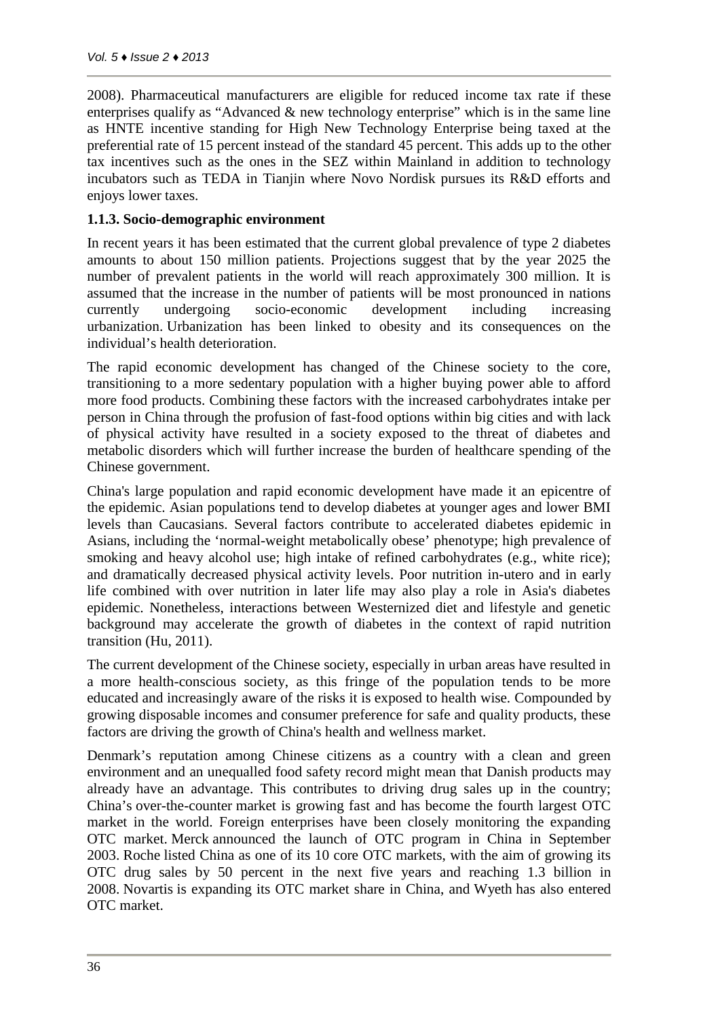2008). Pharmaceutical manufacturers are eligible for reduced income tax rate if these enterprises qualify as "Advanced  $\&$  new technology enterprise" which is in the same line as HNTE incentive standing for High New Technology Enterprise being taxed at the preferential rate of 15 percent instead of the standard 45 percent. This adds up to the other tax incentives such as the ones in the SEZ within Mainland in addition to technology incubators such as TEDA in Tianjin where Novo Nordisk pursues its R&D efforts and enjoys lower taxes.

#### **1.1.3. Socio-demographic environment**

In recent years it has been estimated that the current global prevalence of type 2 diabetes amounts to about 150 million patients. Projections suggest that by the year 2025 the number of prevalent patients in the world will reach approximately 300 million. It is assumed that the increase in the number of patients will be most pronounced in nations currently undergoing socio-economic development including increasing urbanization. Urbanization has been linked to obesity and its consequences on the individual's health deterioration.

The rapid economic development has changed of the Chinese society to the core, transitioning to a more sedentary population with a higher buying power able to afford more food products. Combining these factors with the increased carbohydrates intake per person in China through the profusion of fast-food options within big cities and with lack of physical activity have resulted in a society exposed to the threat of diabetes and metabolic disorders which will further increase the burden of healthcare spending of the Chinese government.

China's large population and rapid economic development have made it an epicentre of the epidemic. Asian populations tend to develop diabetes at younger ages and lower BMI levels than Caucasians. Several factors contribute to accelerated diabetes epidemic in Asians, including the 'normal-weight metabolically obese' phenotype; high prevalence of smoking and heavy alcohol use; high intake of refined carbohydrates (e.g., white rice); and dramatically decreased physical activity levels. Poor nutrition in-utero and in early life combined with over nutrition in later life may also play a role in Asia's diabetes epidemic. Nonetheless, interactions between Westernized diet and lifestyle and genetic background may accelerate the growth of diabetes in the context of rapid nutrition transition (Hu, 2011).

The current development of the Chinese society, especially in urban areas have resulted in a more health-conscious society, as this fringe of the population tends to be more educated and increasingly aware of the risks it is exposed to health wise. Compounded by growing disposable incomes and consumer preference for safe and quality products, these factors are driving the growth of China's health and wellness market.

Denmark's reputation among Chinese citizens as a country with a clean and green environment and an unequalled food safety record might mean that Danish products may already have an advantage. This contributes to driving drug sales up in the country; China's over-the-counter market is growing fast and has become the fourth largest OTC market in the world. Foreign enterprises have been closely monitoring the expanding OTC market. Merck announced the launch of OTC program in China in September 2003. Roche listed China as one of its 10 core OTC markets, with the aim of growing its OTC drug sales by 50 percent in the next five years and reaching 1.3 billion in 2008. Novartis is expanding its OTC market share in China, and Wyeth has also entered OTC market.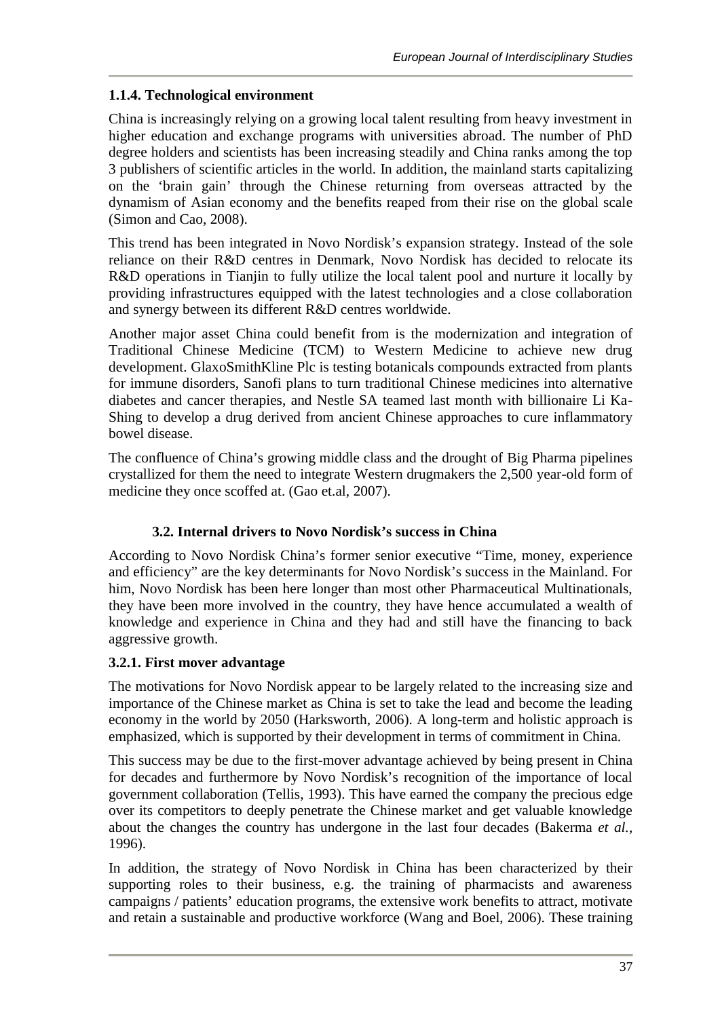#### **1.1.4. Technological environment**

China is increasingly relying on a growing local talent resulting from heavy investment in higher education and exchange programs with universities abroad. The number of PhD degree holders and scientists has been increasing steadily and China ranks among the top 3 publishers of scientific articles in the world. In addition, the mainland starts capitalizing on the 'brain gain' through the Chinese returning from overseas attracted by the dynamism of Asian economy and the benefits reaped from their rise on the global scale (Simon and Cao, 2008).

This trend has been integrated in Novo Nordisk's expansion strategy. Instead of the sole reliance on their R&D centres in Denmark, Novo Nordisk has decided to relocate its R&D operations in Tianjin to fully utilize the local talent pool and nurture it locally by providing infrastructures equipped with the latest technologies and a close collaboration and synergy between its different R&D centres worldwide.

Another major asset China could benefit from is the modernization and integration of Traditional Chinese Medicine (TCM) to Western Medicine to achieve new drug development. GlaxoSmithKline Plc is testing botanicals compounds extracted from plants for immune disorders, Sanofi plans to turn traditional Chinese medicines into alternative diabetes and cancer therapies, and Nestle SA teamed last month with billionaire Li Ka- Shing to develop a drug derived from ancient Chinese approaches to cure inflammatory bowel disease.

The confluence of China's growing middle class and the drought of Big Pharma pipelines crystallized for them the need to integrate Western drugmakers the 2,500 year-old form of medicine they once scoffed at. (Gao et.al, 2007).

## **3.2. Internal drivers to Novo Nordisk's success in China**

According to Novo Nordisk China's former senior executive "Time, money, experience and efficiency" are the key determinants for Novo Nordisk's success in the Mainland. For him, Novo Nordisk has been here longer than most other Pharmaceutical Multinationals, they have been more involved in the country, they have hence accumulated a wealth of knowledge and experience in China and they had and still have the financing to back aggressive growth.

## **3.2.1. First mover advantage**

The motivations for Novo Nordisk appear to be largely related to the increasing size and importance of the Chinese market as China is set to take the lead and become the leading economy in the world by 2050 (Harksworth, 2006). A long-term and holistic approach is emphasized, which is supported by their development in terms of commitment in China.

This success may be due to the first-mover advantage achieved by being present in China for decades and furthermore by Novo Nordisk's recognition of the importance of local government collaboration (Tellis, 1993). This have earned the company the precious edge over its competitors to deeply penetrate the Chinese market and get valuable knowledge about the changes the country has undergone in the last four decades (Bakerma *et al.*, 1996).

In addition, the strategy of Novo Nordisk in China has been characterized by their supporting roles to their business, e.g. the training of pharmacists and awareness campaigns / patients' education programs, the extensive work benefits to attract, motivate and retain a sustainable and productive workforce (Wang and Boel, 2006). These training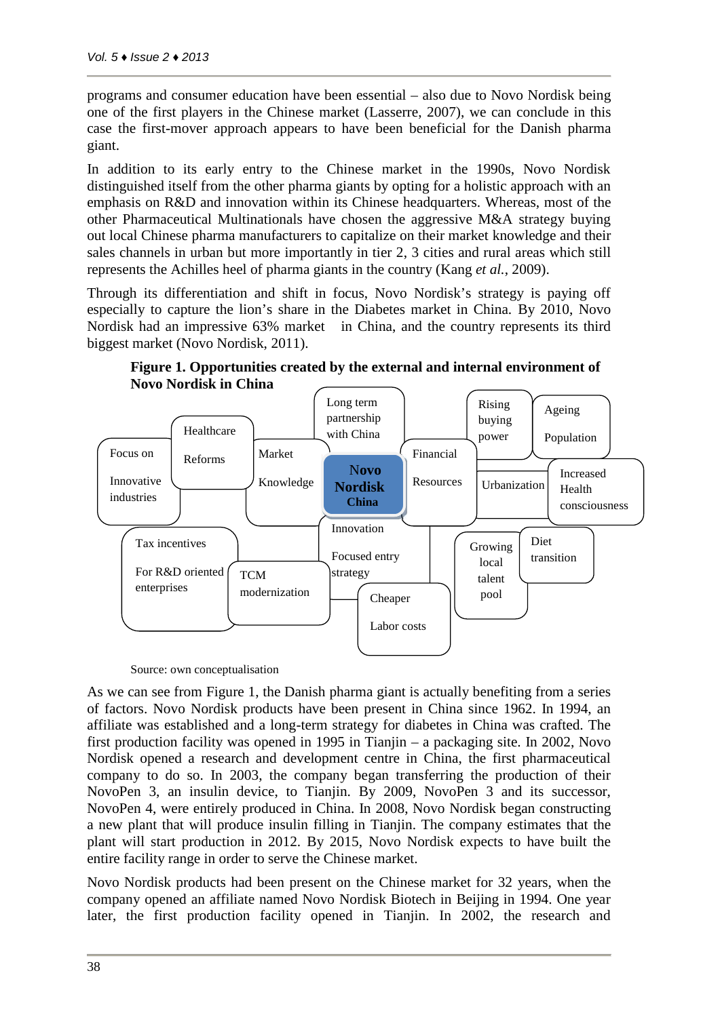programs and consumer education have been essential – also due to Novo Nordisk being one of the first players in the Chinese market (Lasserre, 2007), we can conclude in this case the first-mover approach appears to have been beneficial for the Danish pharma giant.

In addition to its early entry to the Chinese market in the 1990s, Novo Nordisk distinguished itself from the other pharma giants by opting for a holistic approach with an emphasis on R&D and innovation within its Chinese headquarters. Whereas, most of the other Pharmaceutical Multinationals have chosen the aggressive M&A strategy buying out local Chinese pharma manufacturers to capitalize on their market knowledge and their sales channels in urban but more importantly in tier 2, 3 cities and rural areas which still represents the Achilles heel of pharma giants in the country (Kang *et al.*, 2009).

Through its differentiation and shift in focus, Novo Nordisk's strategy is paying off especially to capture the lion's share in the Diabetes market in China. By 2010, Novo Nordisk had an impressive 63% market in China, and the country represents its third biggest market (Novo Nordisk, 2011).



**Figure 1. Opportunities created by the external and internal environment of Novo Nordisk in China**

Source: own conceptualisation

As we can see from Figure 1, the Danish pharma giant is actually benefiting from a series of factors. Novo Nordisk products have been present in China since 1962. In 1994, an affiliate was established and a long-term strategy for diabetes in China was crafted. The first production facility was opened in 1995 in Tianjin – a packaging site. In 2002, Novo Nordisk opened a research and development centre in China, the first pharmaceutical company to do so. In 2003, the company began transferring the production of their NovoPen 3, an insulin device, to Tianjin. By 2009, NovoPen 3 and its successor, NovoPen 4, were entirely produced in China. In 2008, Novo Nordisk began constructing a new plant that will produce insulin filling in Tianjin. The company estimates that the plant will start production in 2012. By 2015, Novo Nordisk expects to have built the entire facility range in order to serve the Chinese market.

Novo Nordisk products had been present on the Chinese market for 32 years, when the company opened an affiliate named Novo Nordisk Biotech in Beijing in 1994. One year later, the first production facility opened in Tianjin. In 2002, the research and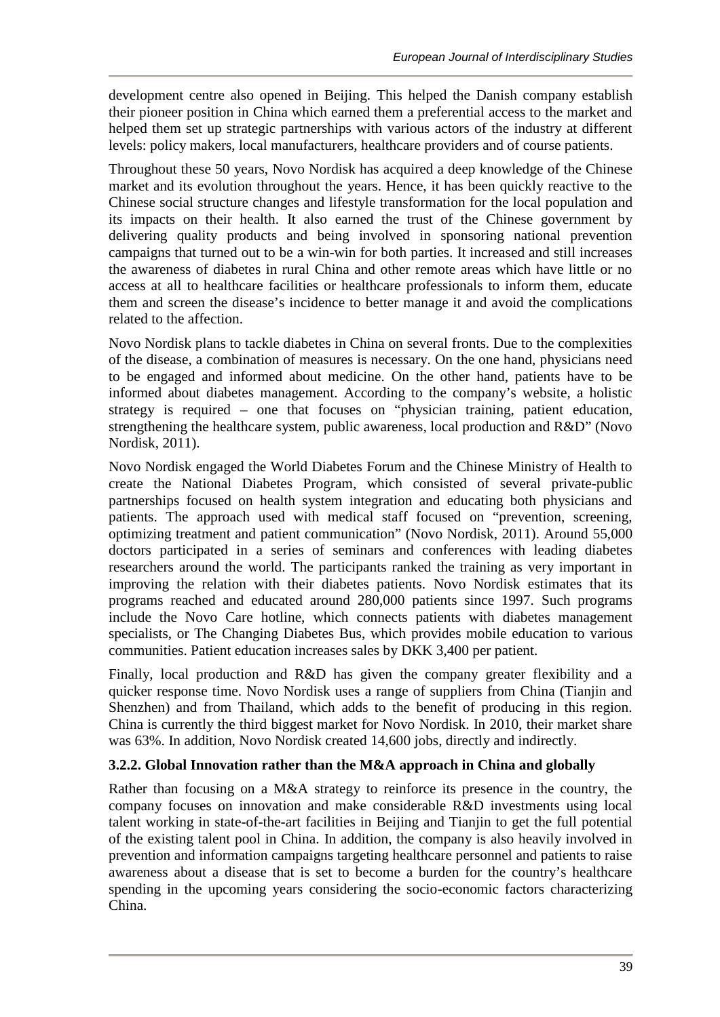development centre also opened in Beijing. This helped the Danish company establish their pioneer position in China which earned them a preferential access to the market and helped them set up strategic partnerships with various actors of the industry at different levels: policy makers, local manufacturers, healthcare providers and of course patients.

Throughout these 50 years, Novo Nordisk has acquired a deep knowledge of the Chinese market and its evolution throughout the years. Hence, it has been quickly reactive to the Chinese social structure changes and lifestyle transformation for the local population and its impacts on their health. It also earned the trust of the Chinese government by delivering quality products and being involved in sponsoring national prevention campaigns that turned out to be a win-win for both parties. It increased and still increases the awareness of diabetes in rural China and other remote areas which have little or no access at all to healthcare facilities or healthcare professionals to inform them, educate them and screen the disease's incidence to better manage it and avoid the complications related to the affection.

Novo Nordisk plans to tackle diabetes in China on several fronts. Due to the complexities of the disease, a combination of measures is necessary. On the one hand, physicians need to be engaged and informed about medicine. On the other hand, patients have to be informed about diabetes management. According to the company's website, a holistic strategy is required – one that focuses on "physician training, patient education, strengthening the healthcare system, public awareness, local production and R&D" (Novo Nordisk, 2011).

Novo Nordisk engaged the World Diabetes Forum and the Chinese Ministry of Health to create the National Diabetes Program, which consisted of several private-public partnerships focused on health system integration and educating both physicians and patients. The approach used with medical staff focused on "prevention, screening, optimizing treatment and patient communication" (Novo Nordisk, 2011). Around 55,000 doctors participated in a series of seminars and conferences with leading diabetes researchers around the world. The participants ranked the training as very important in improving the relation with their diabetes patients. Novo Nordisk estimates that its programs reached and educated around 280,000 patients since 1997. Such programs include the Novo Care hotline, which connects patients with diabetes management specialists, or The Changing Diabetes Bus, which provides mobile education to various communities. Patient education increases sales by DKK 3,400 per patient.

Finally, local production and R&D has given the company greater flexibility and a quicker response time. Novo Nordisk uses a range of suppliers from China (Tianjin and Shenzhen) and from Thailand, which adds to the benefit of producing in this region. China is currently the third biggest market for Novo Nordisk. In 2010, their market share was 63%. In addition, Novo Nordisk created 14,600 jobs, directly and indirectly.

## **3.2.2. Global Innovation rather than the M&A approach in China and globally**

Rather than focusing on a M&A strategy to reinforce its presence in the country, the company focuses on innovation and make considerable R&D investments using local talent working in state-of-the-art facilities in Beijing and Tianjin to get the full potential of the existing talent pool in China. In addition, the company is also heavily involved in prevention and information campaigns targeting healthcare personnel and patients to raise awareness about a disease that is set to become a burden for the country's healthcare spending in the upcoming years considering the socio-economic factors characterizing China.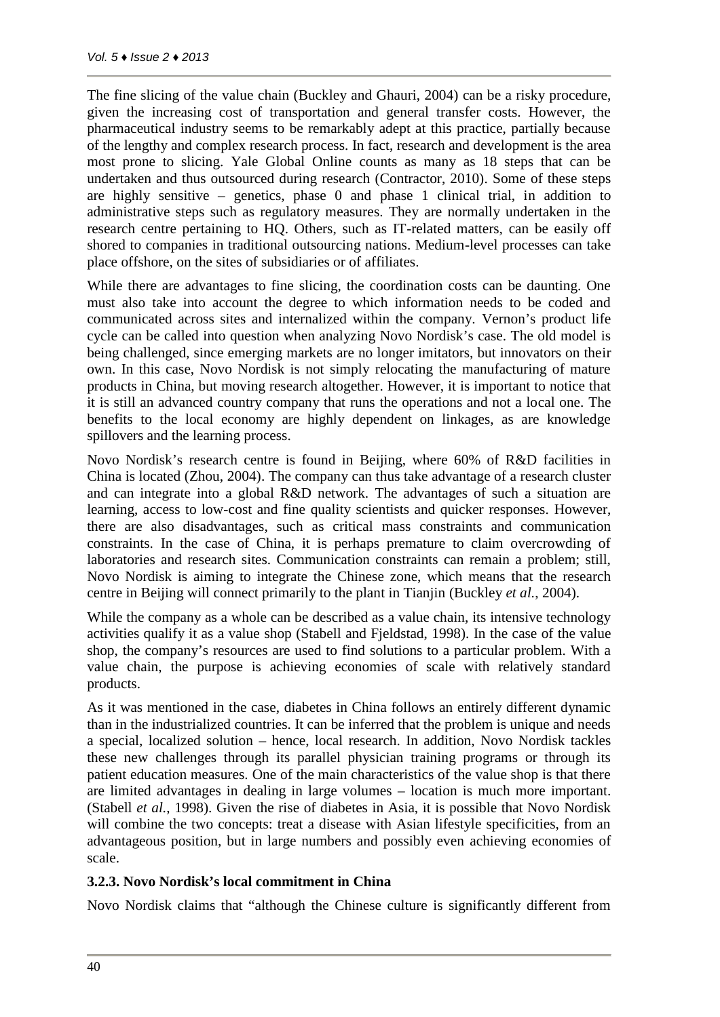The fine slicing of the value chain (Buckley and Ghauri, 2004) can be a risky procedure, given the increasing cost of transportation and general transfer costs. However, the pharmaceutical industry seems to be remarkably adept at this practice, partially because of the lengthy and complex research process. In fact, research and development is the area most prone to slicing. Yale Global Online counts as many as 18 steps that can be undertaken and thus outsourced during research (Contractor, 2010). Some of these steps are highly sensitive – genetics, phase 0 and phase 1 clinical trial, in addition to administrative steps such as regulatory measures. They are normally undertaken in the research centre pertaining to HQ. Others, such as IT-related matters, can be easily off shored to companies in traditional outsourcing nations. Medium-level processes can take place offshore, on the sites of subsidiaries or of affiliates.

While there are advantages to fine slicing, the coordination costs can be daunting. One must also take into account the degree to which information needs to be coded and communicated across sites and internalized within the company. Vernon's product life cycle can be called into question when analyzing Novo Nordisk's case. The old model is being challenged, since emerging markets are no longer imitators, but innovators on their own. In this case, Novo Nordisk is not simply relocating the manufacturing of mature products in China, but moving research altogether. However, it is important to notice that it is still an advanced country company that runs the operations and not a local one. The benefits to the local economy are highly dependent on linkages, as are knowledge spillovers and the learning process.

Novo Nordisk's research centre is found in Beijing, where 60% of R&D facilities in China is located (Zhou, 2004). The company can thus take advantage of a research cluster and can integrate into a global R&D network. The advantages of such a situation are learning, access to low-cost and fine quality scientists and quicker responses. However, there are also disadvantages, such as critical mass constraints and communication constraints. In the case of China, it is perhaps premature to claim overcrowding of laboratories and research sites. Communication constraints can remain a problem; still, Novo Nordisk is aiming to integrate the Chinese zone, which means that the research centre in Beijing will connect primarily to the plant in Tianjin (Buckley *et al.*, 2004).

While the company as a whole can be described as a value chain, its intensive technology activities qualify it as a value shop (Stabell and Fjeldstad, 1998). In the case of the value shop, the company's resources are used to find solutions to a particular problem. With a value chain, the purpose is achieving economies of scale with relatively standard products.

As it was mentioned in the case, diabetes in China follows an entirely different dynamic than in the industrialized countries. It can be inferred that the problem is unique and needs a special, localized solution – hence, local research. In addition, Novo Nordisk tackles these new challenges through its parallel physician training programs or through its patient education measures. One of the main characteristics of the value shop is that there are limited advantages in dealing in large volumes – location is much more important. (Stabell *et al.*, 1998). Given the rise of diabetes in Asia, it is possible that Novo Nordisk will combine the two concepts: treat a disease with Asian lifestyle specificities, from an advantageous position, but in large numbers and possibly even achieving economies of scale.

#### **3.2.3. Novo Nordisk's local commitment in China**

Novo Nordisk claims that "although the Chinese culture is significantly different from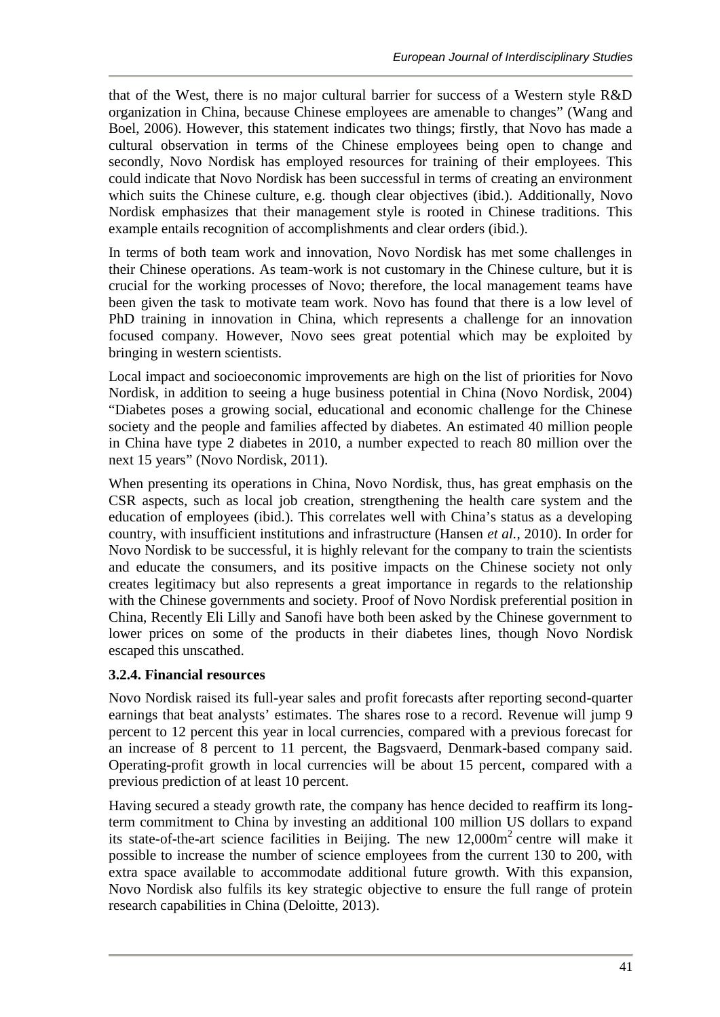that of the West, there is no major cultural barrier for success of a Western style R&D organization in China, because Chinese employees are amenable to changes" (Wang and Boel, 2006). However, this statement indicates two things; firstly, that Novo has made a cultural observation in terms of the Chinese employees being open to change and secondly, Novo Nordisk has employed resources for training of their employees. This could indicate that Novo Nordisk has been successful in terms of creating an environment which suits the Chinese culture, e.g. though clear objectives (ibid.). Additionally, Novo Nordisk emphasizes that their management style is rooted in Chinese traditions. This example entails recognition of accomplishments and clear orders (ibid.).

In terms of both team work and innovation, Novo Nordisk has met some challenges in their Chinese operations. As team-work is not customary in the Chinese culture, but it is crucial for the working processes of Novo; therefore, the local management teams have been given the task to motivate team work. Novo has found that there is a low level of PhD training in innovation in China, which represents a challenge for an innovation focused company. However, Novo sees great potential which may be exploited by bringing in western scientists.

Local impact and socioeconomic improvements are high on the list of priorities for Novo Nordisk, in addition to seeing a huge business potential in China (Novo Nordisk, 2004) "Diabetes poses a growing social, educational and economic challenge for the Chinese society and the people and families affected by diabetes. An estimated 40 million people in China have type 2 diabetes in 2010, a number expected to reach 80 million over the next 15 years" (Novo Nordisk, 2011).

When presenting its operations in China, Novo Nordisk, thus, has great emphasis on the CSR aspects, such as local job creation, strengthening the health care system and the education of employees (ibid.). This correlates well with China's status as a developing country, with insufficient institutions and infrastructure (Hansen *et al.*, 2010). In order for Novo Nordisk to be successful, it is highly relevant for the company to train the scientists and educate the consumers, and its positive impacts on the Chinese society not only creates legitimacy but also represents a great importance in regards to the relationship with the Chinese governments and society. Proof of Novo Nordisk preferential position in China, Recently Eli Lilly and Sanofi have both been asked by the Chinese government to lower prices on some of the products in their diabetes lines, though Novo Nordisk escaped this unscathed.

## **3.2.4. Financial resources**

Novo Nordisk raised its full-year sales and profit forecasts after reporting second-quarter earnings that beat analysts' estimates. The shares rose to a record. Revenue will jump 9 percent to 12 percent this year in local currencies, compared with a previous forecast for an increase of 8 percent to 11 percent, the Bagsvaerd, Denmark-based company said. Operating-profit growth in local currencies will be about 15 percent, compared with a previous prediction of at least 10 percent.

Having secured a steady growth rate, the company has hence decided to reaffirm its longterm commitment to China by investing an additional 100 million US dollars to expand its state-of-the-art science facilities in Beijing. The new  $12,000m^2$  centre will make it possible to increase the number of science employees from the current 130 to 200, with extra space available to accommodate additional future growth. With this expansion, Novo Nordisk also fulfils its key strategic objective to ensure the full range of protein research capabilities in China (Deloitte, 2013).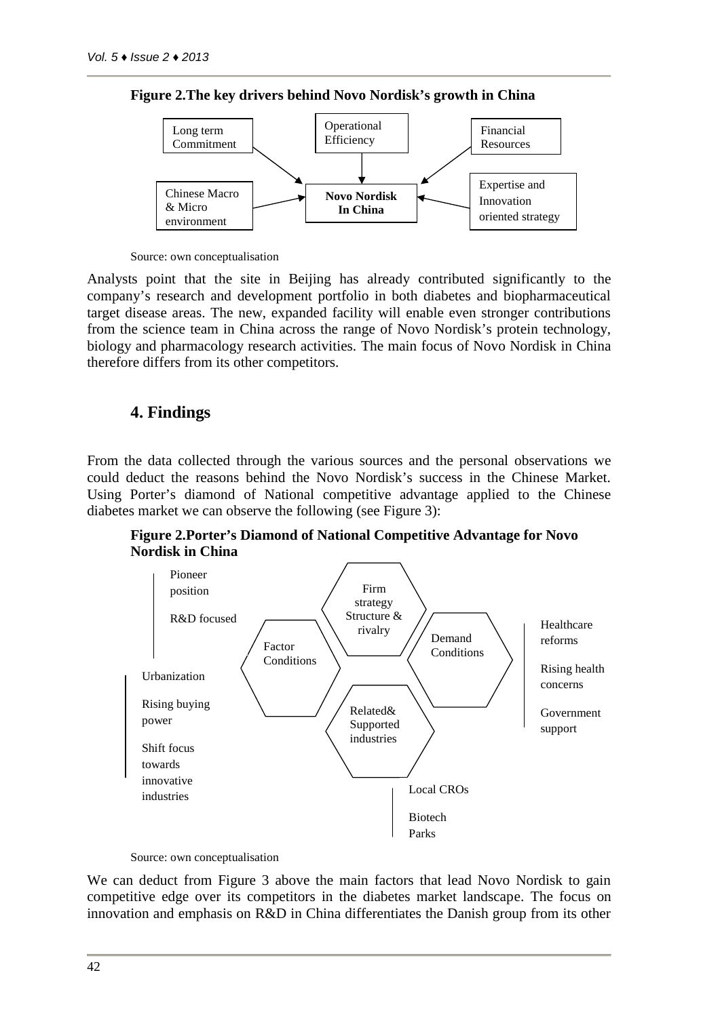

**Figure 2.The key drivers behind Novo Nordisk's growth in China**

Source: own conceptualisation

Analysts point that the site in Beijing has already contributed significantly to the company's research and development portfolio in both diabetes and biopharmaceutical target disease areas. The new, expanded facility will enable even stronger contributions from the science team in China across the range of Novo Nordisk's protein technology, biology and pharmacology research activities. The main focus of Novo Nordisk in China therefore differs from its other competitors.

#### **4. Findings**

From the data collected through the various sources and the personal observations we could deduct the reasons behind the Novo Nordisk's success in the Chinese Market. Using Porter's diamond of National competitive advantage applied to the Chinese diabetes market we can observe the following (see Figure 3):

**Figure 2.Porter's Diamond of National Competitive Advantage for Novo Nordisk in China**



Source: own conceptualisation

We can deduct from Figure 3 above the main factors that lead Novo Nordisk to gain competitive edge over its competitors in the diabetes market landscape. The focus on innovation and emphasis on R&D in China differentiates the Danish group from its other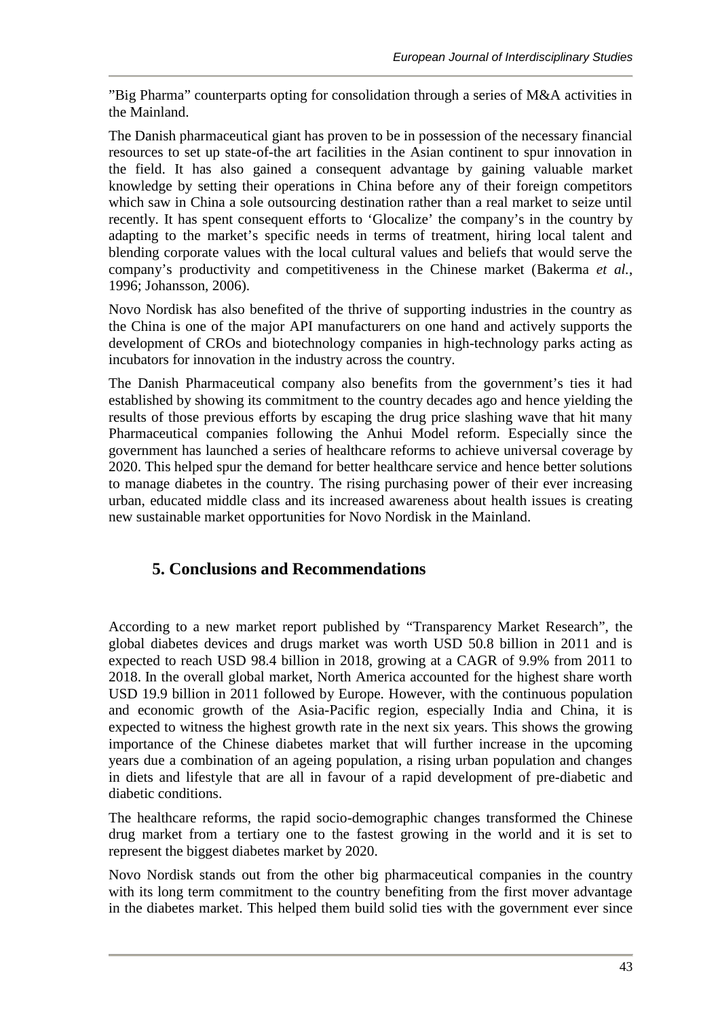"Big Pharma" counterparts opting for consolidation through a series of M&A activities in the Mainland.

The Danish pharmaceutical giant has proven to be in possession of the necessary financial resources to set up state-of-the art facilities in the Asian continent to spur innovation in the field. It has also gained a consequent advantage by gaining valuable market knowledge by setting their operations in China before any of their foreign competitors which saw in China a sole outsourcing destination rather than a real market to seize until recently. It has spent consequent efforts to 'Glocalize' the company's in the country by adapting to the market's specific needs in terms of treatment, hiring local talent and blending corporate values with the local cultural values and beliefs that would serve the company's productivity and competitiveness in the Chinese market (Bakerma *et al.*, 1996; Johansson, 2006).

Novo Nordisk has also benefited of the thrive of supporting industries in the country as the China is one of the major API manufacturers on one hand and actively supports the development of CROs and biotechnology companies in high-technology parks acting as incubators for innovation in the industry across the country.

The Danish Pharmaceutical company also benefits from the government's ties it had established by showing its commitment to the country decades ago and hence yielding the results of those previous efforts by escaping the drug price slashing wave that hit many Pharmaceutical companies following the Anhui Model reform. Especially since the government has launched a series of healthcare reforms to achieve universal coverage by 2020. This helped spur the demand for better healthcare service and hence better solutions to manage diabetes in the country. The rising purchasing power of their ever increasing urban, educated middle class and its increased awareness about health issues is creating new sustainable market opportunities for Novo Nordisk in the Mainland.

# **5. Conclusions and Recommendations**

According to a new market report published by "Transparency Market Research", the global diabetes devices and drugs market was worth USD 50.8 billion in 2011 and is expected to reach USD 98.4 billion in 2018, growing at a CAGR of 9.9% from 2011 to 2018. In the overall global market, North America accounted for the highest share worth USD 19.9 billion in 2011 followed by Europe. However, with the continuous population and economic growth of the Asia-Pacific region, especially India and China, it is expected to witness the highest growth rate in the next six years. This shows the growing importance of the Chinese diabetes market that will further increase in the upcoming years due a combination of an ageing population, a rising urban population and changes in diets and lifestyle that are all in favour of a rapid development of pre-diabetic and diabetic conditions.

The healthcare reforms, the rapid socio-demographic changes transformed the Chinese drug market from a tertiary one to the fastest growing in the world and it is set to represent the biggest diabetes market by 2020.

Novo Nordisk stands out from the other big pharmaceutical companies in the country with its long term commitment to the country benefiting from the first mover advantage in the diabetes market. This helped them build solid ties with the government ever since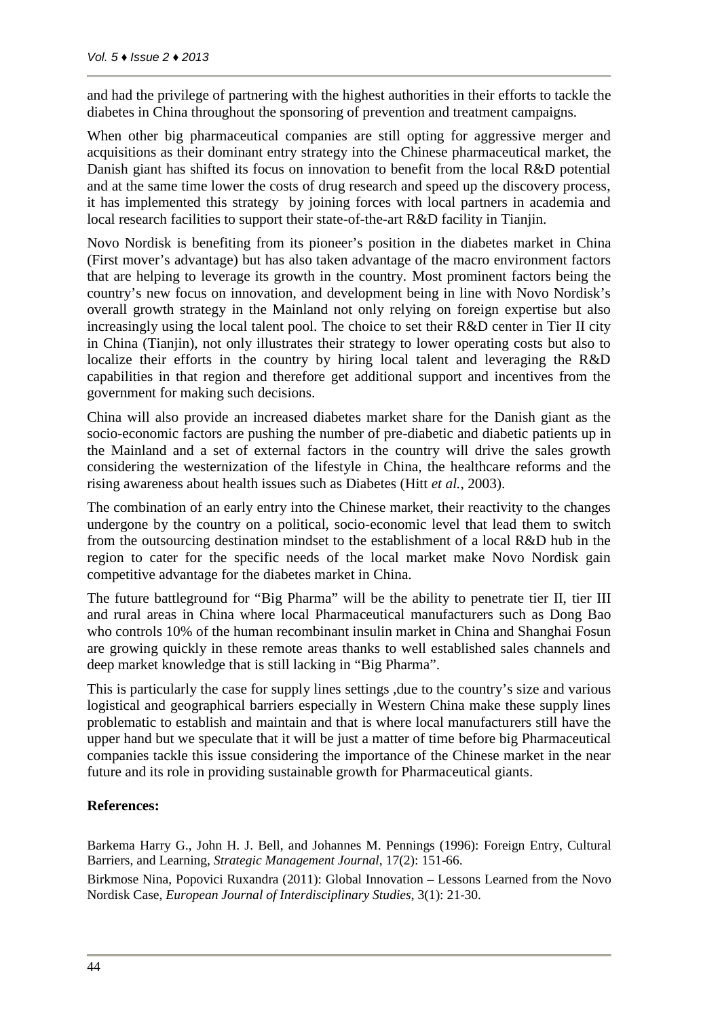and had the privilege of partnering with the highest authorities in their efforts to tackle the diabetes in China throughout the sponsoring of prevention and treatment campaigns.

When other big pharmaceutical companies are still opting for aggressive merger and acquisitions as their dominant entry strategy into the Chinese pharmaceutical market, the Danish giant has shifted its focus on innovation to benefit from the local R&D potential and at the same time lower the costs of drug research and speed up the discovery process, it has implemented this strategy by joining forces with local partners in academia and local research facilities to support their state-of-the-art R&D facility in Tianjin.

Novo Nordisk is benefiting from its pioneer's position in the diabetes market in China (First mover's advantage) but has also taken advantage of the macro environment factors that are helping to leverage its growth in the country. Most prominent factors being the country's new focus on innovation, and development being in line with Novo Nordisk's overall growth strategy in the Mainland not only relying on foreign expertise but also increasingly using the local talent pool. The choice to set their R&D center in Tier II city in China (Tianjin), not only illustrates their strategy to lower operating costs but also to localize their efforts in the country by hiring local talent and leveraging the R&D capabilities in that region and therefore get additional support and incentives from the government for making such decisions.

China will also provide an increased diabetes market share for the Danish giant as the socio-economic factors are pushing the number of pre-diabetic and diabetic patients up in the Mainland and a set of external factors in the country will drive the sales growth considering the westernization of the lifestyle in China, the healthcare reforms and the rising awareness about health issues such as Diabetes (Hitt *et al.*, 2003).

The combination of an early entry into the Chinese market, their reactivity to the changes undergone by the country on a political, socio-economic level that lead them to switch from the outsourcing destination mindset to the establishment of a local R&D hub in the region to cater for the specific needs of the local market make Novo Nordisk gain competitive advantage for the diabetes market in China.

The future battleground for "Big Pharma" will be the ability to penetrate tier II, tier III and rural areas in China where local Pharmaceutical manufacturers such as Dong Bao who controls 10% of the human recombinant insulin market in China and Shanghai Fosun are growing quickly in these remote areas thanks to well established sales channels and deep market knowledge that is still lacking in "Big Pharma".

This is particularly the case for supply lines settings ,due to the country's size and various logistical and geographical barriers especially in Western China make these supply lines problematic to establish and maintain and that is where local manufacturers still have the upper hand but we speculate that it will be just a matter of time before big Pharmaceutical companies tackle this issue considering the importance of the Chinese market in the near future and its role in providing sustainable growth for Pharmaceutical giants.

#### **References:**

Barkema Harry G., John H. J. Bell, and Johannes M. Pennings (1996): Foreign Entry, Cultural Barriers, and Learning, *Strategic Management Journal*, 17(2): 151-66.

Birkmose Nina, Popovici Ruxandra (2011): Global Innovation – Lessons Learned from the Novo Nordisk Case, *European Journal of Interdisciplinary Studies*, 3(1): 21-30.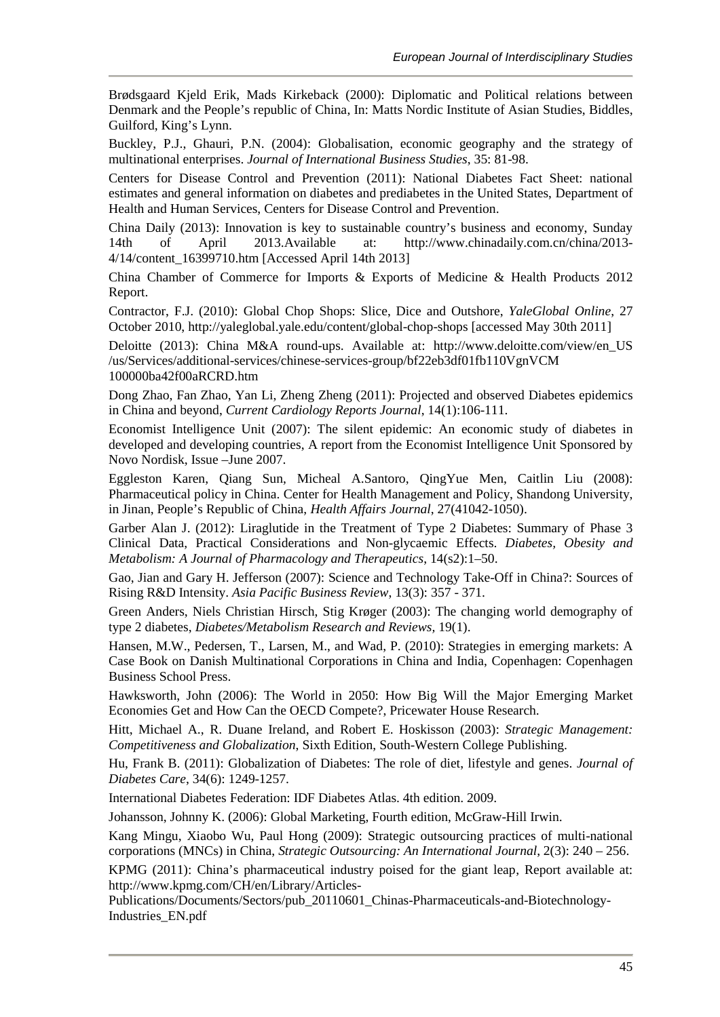Brødsgaard Kjeld Erik, Mads Kirkeback (2000): Diplomatic and Political relations between Denmark and the People's republic of China, In: Matts Nordic Institute of Asian Studies, Biddles, Guilford, King's Lynn.

Buckley, P.J., Ghauri, P.N. (2004): Globalisation, economic geography and the strategy of multinational enterprises. *Journal of International Business Studies*, 35: 81-98.

Centers for Disease Control and Prevention (2011): National Diabetes Fact Sheet: national estimates and general information on diabetes and prediabetes in the United States, Department of Health and Human Services, Centers for Disease Control and Prevention.

China Daily (2013): Innovation is key to sustainable country's business and economy, Sunday 14th of April 2013.Available at: http://www.chinadaily.com.cn/china/2013- 4/14/content\_16399710.htm [Accessed April 14th 2013]

China Chamber of Commerce for Imports & Exports of Medicine & Health Products 2012 Report.

Contractor, F.J. (2010): Global Chop Shops: Slice, Dice and Outshore, *YaleGlobal Online*, 27 October 2010, http://yaleglobal.yale.edu/content/global-chop-shops [accessed May 30th 2011]

Deloitte (2013): China M&A round-ups. Available at: http://www.deloitte.com/view/en\_US /us/Services/additional-services/chinese-services-group/bf22eb3df01fb110VgnVCM 100000ba42f00aRCRD.htm

Dong Zhao, Fan Zhao, Yan Li, Zheng Zheng (2011): Projected and observed Diabetes epidemics in China and beyond, *Current Cardiology Reports Journal*, 14(1):106-111.

Economist Intelligence Unit (2007): The silent epidemic: An economic study of diabetes in developed and developing countries, A report from the Economist Intelligence Unit Sponsored by Novo Nordisk, Issue –June 2007.

Eggleston Karen, Qiang Sun, Micheal A.Santoro, QingYue Men, Caitlin Liu (2008): Pharmaceutical policy in China. Center for Health Management and Policy, Shandong University, in Jinan, People's Republic of China, *Health Affairs Journal*, 27(41042-1050).

Garber Alan J. (2012): Liraglutide in the Treatment of Type 2 Diabetes: Summary of Phase 3 Clinical Data, Practical Considerations and Non-glycaemic Effects. *Diabetes, Obesity and Metabolism: A Journal of Pharmacology and Therapeutics*, 14(s2):1–50.

Gao, Jian and Gary H. Jefferson (2007): Science and Technology Take-Off in China?: Sources of Rising R&D Intensity. *Asia Pacific Business Review*, 13(3): 357 - 371.

Green Anders, Niels Christian Hirsch, Stig Krøger (2003): The changing world demography of type 2 diabetes, *Diabetes/Metabolism Research and Reviews,* 19(1).

Hansen, M.W., Pedersen, T., Larsen, M., and Wad, P. (2010): Strategies in emerging markets: A Case Book on Danish Multinational Corporations in China and India, Copenhagen: Copenhagen Business School Press.

Hawksworth, John (2006): The World in 2050: How Big Will the Major Emerging Market Economies Get and How Can the OECD Compete?, Pricewater House Research.

Hitt, Michael A., R. Duane Ireland, and Robert E. Hoskisson (2003): *Strategic Management: Competitiveness and Globalization*, Sixth Edition, South-Western College Publishing.

Hu, Frank B. (2011): Globalization of Diabetes: The role of diet, lifestyle and genes. *Journal of Diabetes Care*, 34(6): 1249-1257.

International Diabetes Federation: IDF Diabetes Atlas. 4th edition. 2009.

Johansson, Johnny K. (2006): Global Marketing, Fourth edition, McGraw-Hill Irwin.

Kang Mingu, Xiaobo Wu, Paul Hong (2009): Strategic outsourcing practices of multi-national corporations (MNCs) in China, *Strategic Outsourcing: An International Journal*, 2(3): 240 – 256.

KPMG (2011): China's pharmaceutical industry poised for the giant leap, Report available at: http://www.kpmg.com/CH/en/Library/Articles-

Publications/Documents/Sectors/pub\_20110601\_Chinas-Pharmaceuticals-and-Biotechnology-Industries\_EN.pdf